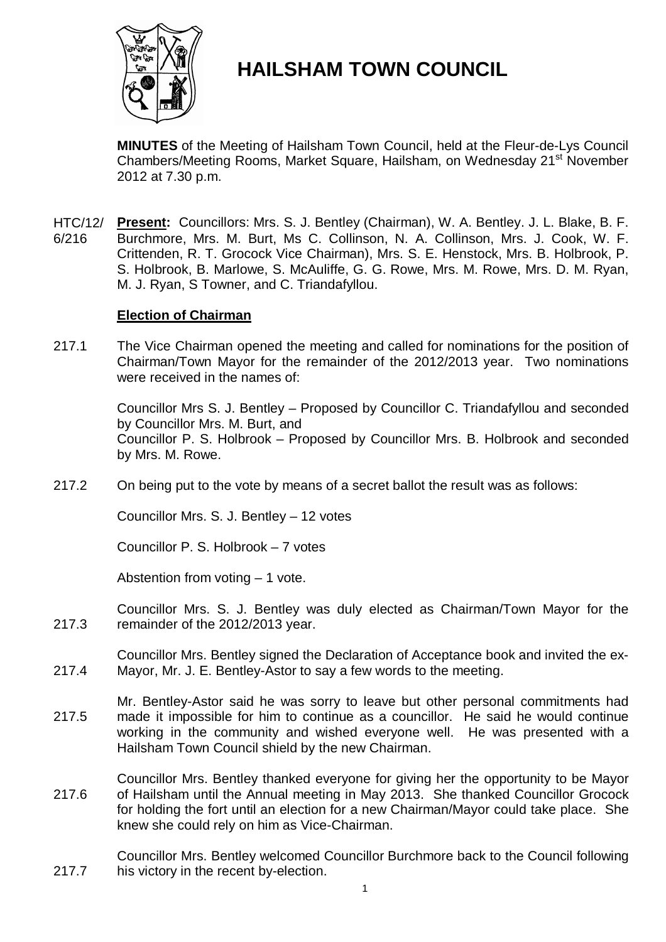

# **HAILSHAM TOWN COUNCIL**

**MINUTES** of the Meeting of Hailsham Town Council, held at the Fleur-de-Lys Council Chambers/Meeting Rooms, Market Square, Hailsham, on Wednesday 21<sup>st</sup> November 2012 at 7.30 p.m.

HTC/12/ 6/216 **Present:** Councillors: Mrs. S. J. Bentley (Chairman), W. A. Bentley. J. L. Blake, B. F. Burchmore, Mrs. M. Burt, Ms C. Collinson, N. A. Collinson, Mrs. J. Cook, W. F. Crittenden, R. T. Grocock Vice Chairman), Mrs. S. E. Henstock, Mrs. B. Holbrook, P. S. Holbrook, B. Marlowe, S. McAuliffe, G. G. Rowe, Mrs. M. Rowe, Mrs. D. M. Ryan, M. J. Ryan, S Towner, and C. Triandafyllou.

# **Election of Chairman**

217.1 The Vice Chairman opened the meeting and called for nominations for the position of Chairman/Town Mayor for the remainder of the 2012/2013 year. Two nominations were received in the names of:

> Councillor Mrs S. J. Bentley – Proposed by Councillor C. Triandafyllou and seconded by Councillor Mrs. M. Burt, and Councillor P. S. Holbrook – Proposed by Councillor Mrs. B. Holbrook and seconded by Mrs. M. Rowe.

217.2 On being put to the vote by means of a secret ballot the result was as follows:

Councillor Mrs. S. J. Bentley – 12 votes

Councillor P. S. Holbrook – 7 votes

Abstention from voting – 1 vote.

217.3 Councillor Mrs. S. J. Bentley was duly elected as Chairman/Town Mayor for the remainder of the 2012/2013 year.

- 217.4 Councillor Mrs. Bentley signed the Declaration of Acceptance book and invited the ex-Mayor, Mr. J. E. Bentley-Astor to say a few words to the meeting.
- 217.5 Mr. Bentley-Astor said he was sorry to leave but other personal commitments had made it impossible for him to continue as a councillor. He said he would continue working in the community and wished everyone well. He was presented with a Hailsham Town Council shield by the new Chairman.
- 217.6 Councillor Mrs. Bentley thanked everyone for giving her the opportunity to be Mayor of Hailsham until the Annual meeting in May 2013. She thanked Councillor Grocock for holding the fort until an election for a new Chairman/Mayor could take place. She knew she could rely on him as Vice-Chairman.

217.7 Councillor Mrs. Bentley welcomed Councillor Burchmore back to the Council following his victory in the recent by-election.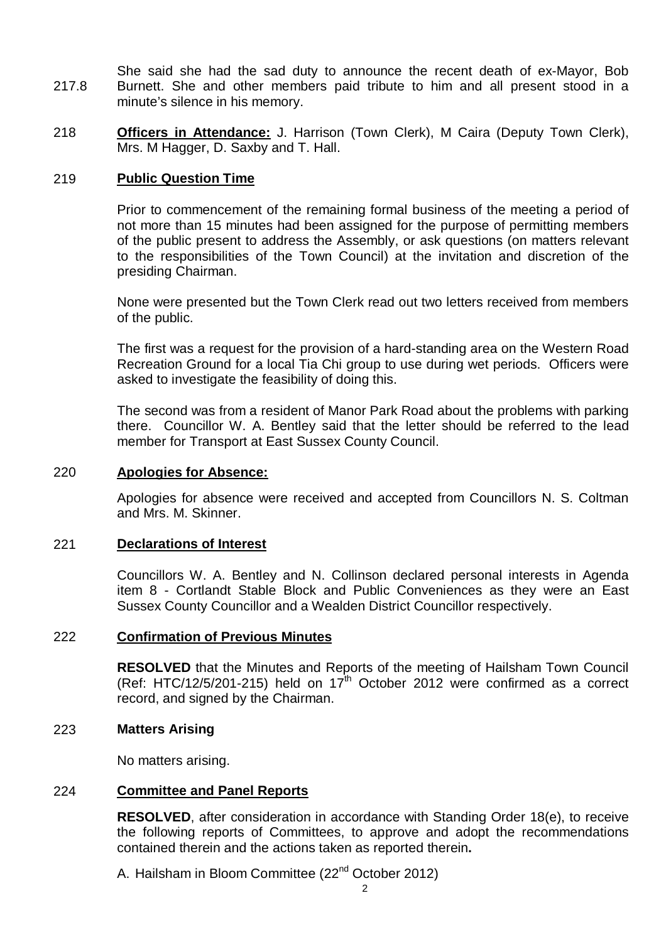217.8 She said she had the sad duty to announce the recent death of ex-Mayor, Bob Burnett. She and other members paid tribute to him and all present stood in a minute's silence in his memory.

218 **Officers in Attendance:** J. Harrison (Town Clerk), M Caira (Deputy Town Clerk), Mrs. M Hagger, D. Saxby and T. Hall.

# 219 **Public Question Time**

Prior to commencement of the remaining formal business of the meeting a period of not more than 15 minutes had been assigned for the purpose of permitting members of the public present to address the Assembly, or ask questions (on matters relevant to the responsibilities of the Town Council) at the invitation and discretion of the presiding Chairman.

None were presented but the Town Clerk read out two letters received from members of the public.

The first was a request for the provision of a hard-standing area on the Western Road Recreation Ground for a local Tia Chi group to use during wet periods. Officers were asked to investigate the feasibility of doing this.

The second was from a resident of Manor Park Road about the problems with parking there. Councillor W. A. Bentley said that the letter should be referred to the lead member for Transport at East Sussex County Council.

# 220 **Apologies for Absence:**

Apologies for absence were received and accepted from Councillors N. S. Coltman and Mrs. M. Skinner.

# 221 **Declarations of Interest**

Councillors W. A. Bentley and N. Collinson declared personal interests in Agenda item 8 - Cortlandt Stable Block and Public Conveniences as they were an East Sussex County Councillor and a Wealden District Councillor respectively.

# 222 **Confirmation of Previous Minutes**

**RESOLVED** that the Minutes and Reports of the meeting of Hailsham Town Council (Ref: HTC/12/5/201-215) held on  $17<sup>th</sup>$  October 2012 were confirmed as a correct record, and signed by the Chairman.

# 223 **Matters Arising**

No matters arising.

### 224 **Committee and Panel Reports**

**RESOLVED**, after consideration in accordance with Standing Order 18(e), to receive the following reports of Committees, to approve and adopt the recommendations contained therein and the actions taken as reported therein**.**

A. Hailsham in Bloom Committee (22<sup>nd</sup> October 2012)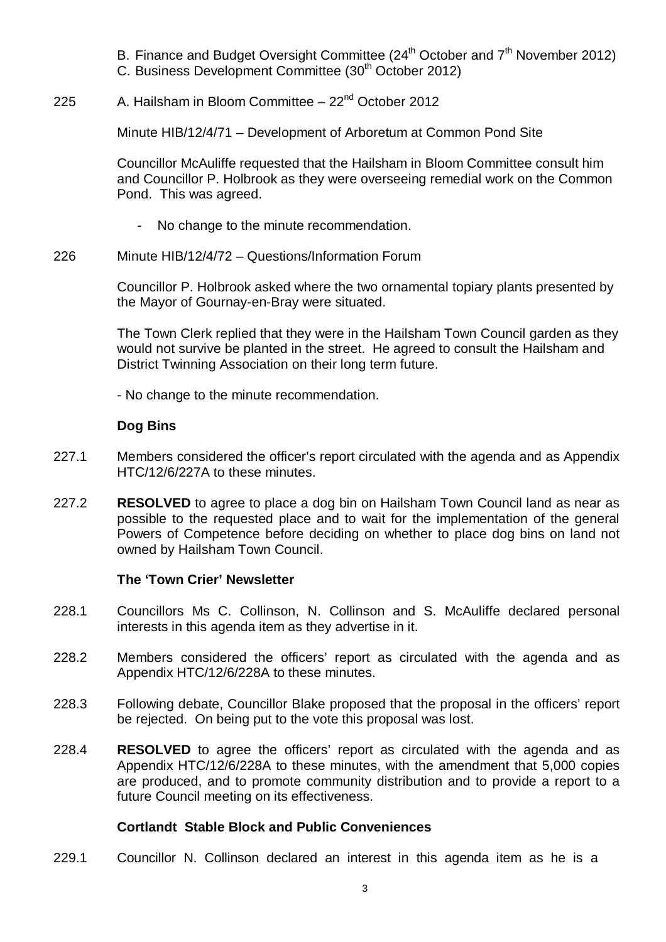- B. Finance and Budget Oversight Committee  $(24<sup>th</sup> October and 7<sup>th</sup> November 2012)$
- C. Business Development Committee (30th October 2012)

#### 225 A. Hailsham in Bloom Committee  $-22<sup>nd</sup>$  October 2012

Minute HIB/12/4/71 – Development of Arboretum at Common Pond Site

Councillor McAuliffe requested that the Hailsham in Bloom Committee consult him and Councillor P. Holbrook as they were overseeing remedial work on the Common Pond. This was agreed.

- No change to the minute recommendation.
- 226 Minute HIB/12/4/72 – Questions/Information Forum

Councillor P. Holbrook asked where the two ornamental topiary plants presented by the Mayor of Gournay-en-Bray were situated.

The Town Clerk replied that they were in the Hailsham Town Council garden as they would not survive be planted in the street. He agreed to consult the Hailsham and District Twinning Association on their long term future.

- No change to the minute recommendation.

# **Dog Bins**

- 227.1 Members considered the officer's report circulated with the agenda and as Appendix HTC/12/6/227A to these minutes.
- 227.2 **RESOLVED** to agree to place a dog bin on Hailsham Town Council land as near as possible to the requested place and to wait for the implementation of the general Powers of Competence before deciding on whether to place dog bins on land not owned by Hailsham Town Council.

# **The 'Town Crier' Newsletter**

- 228.1 Councillors Ms C. Collinson, N. Collinson and S. McAuliffe declared personal interests in this agenda item as they advertise in it.
- 228.2 Members considered the officers' report as circulated with the agenda and as Appendix HTC/12/6/228A to these minutes.
- 228.3 Following debate, Councillor Blake proposed that the proposal in the officers' report be rejected. On being put to the vote this proposal was lost.
- 228.4 **RESOLVED** to agree the officers' report as circulated with the agenda and as Appendix HTC/12/6/228A to these minutes, with the amendment that 5,000 copies are produced, and to promote community distribution and to provide a report to a future Council meeting on its effectiveness.

# **Cortlandt Stable Block and Public Conveniences**

229.1 Councillor N. Collinson declared an interest in this agenda item as he is a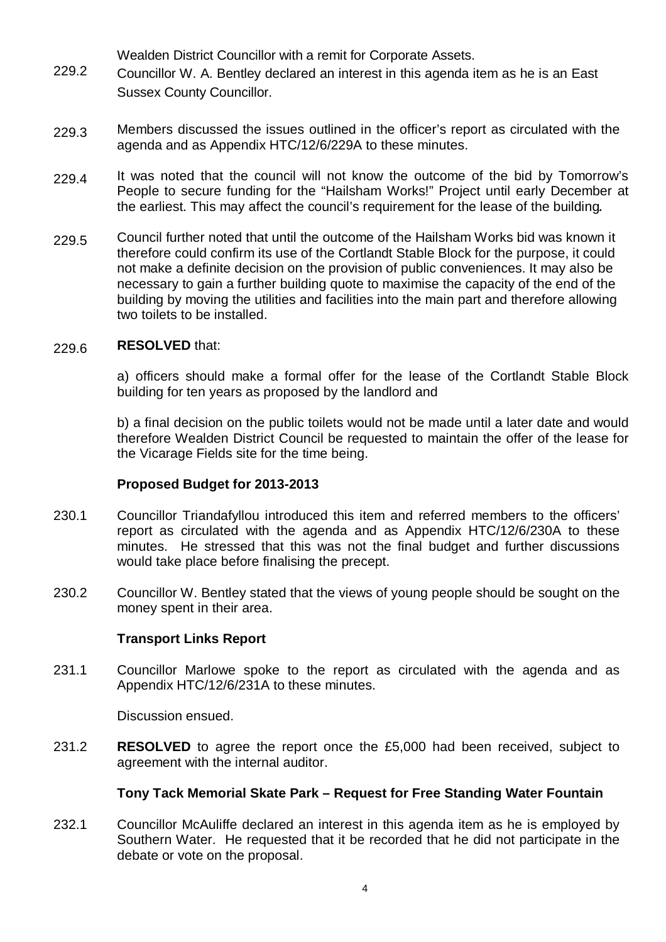Wealden District Councillor with a remit for Corporate Assets.

- 229.2 Councillor W. A. Bentley declared an interest in this agenda item as he is an East Sussex County Councillor.
- 229.3 Members discussed the issues outlined in the officer's report as circulated with the agenda and as Appendix HTC/12/6/229A to these minutes.
- 229.4 It was noted that the council will not know the outcome of the bid by Tomorrow's People to secure funding for the "Hailsham Works!" Project until early December at the earliest. This may affect the council's requirement for the lease of the building*.*
- 229.5 Council further noted that until the outcome of the Hailsham Works bid was known it therefore could confirm its use of the Cortlandt Stable Block for the purpose, it could not make a definite decision on the provision of public conveniences. It may also be necessary to gain a further building quote to maximise the capacity of the end of the building by moving the utilities and facilities into the main part and therefore allowing two toilets to be installed.

#### 229.6 **RESOLVED** that:

a) officers should make a formal offer for the lease of the Cortlandt Stable Block building for ten years as proposed by the landlord and

b) a final decision on the public toilets would not be made until a later date and would therefore Wealden District Council be requested to maintain the offer of the lease for the Vicarage Fields site for the time being.

# **Proposed Budget for 2013-2013**

- 230.1 Councillor Triandafyllou introduced this item and referred members to the officers' report as circulated with the agenda and as Appendix HTC/12/6/230A to these minutes. He stressed that this was not the final budget and further discussions would take place before finalising the precept.
- 230.2 Councillor W. Bentley stated that the views of young people should be sought on the money spent in their area.

# **Transport Links Report**

231.1 Councillor Marlowe spoke to the report as circulated with the agenda and as Appendix HTC/12/6/231A to these minutes.

Discussion ensued.

231.2 **RESOLVED** to agree the report once the £5,000 had been received, subject to agreement with the internal auditor.

# **Tony Tack Memorial Skate Park – Request for Free Standing Water Fountain**

232.1 Councillor McAuliffe declared an interest in this agenda item as he is employed by Southern Water. He requested that it be recorded that he did not participate in the debate or vote on the proposal.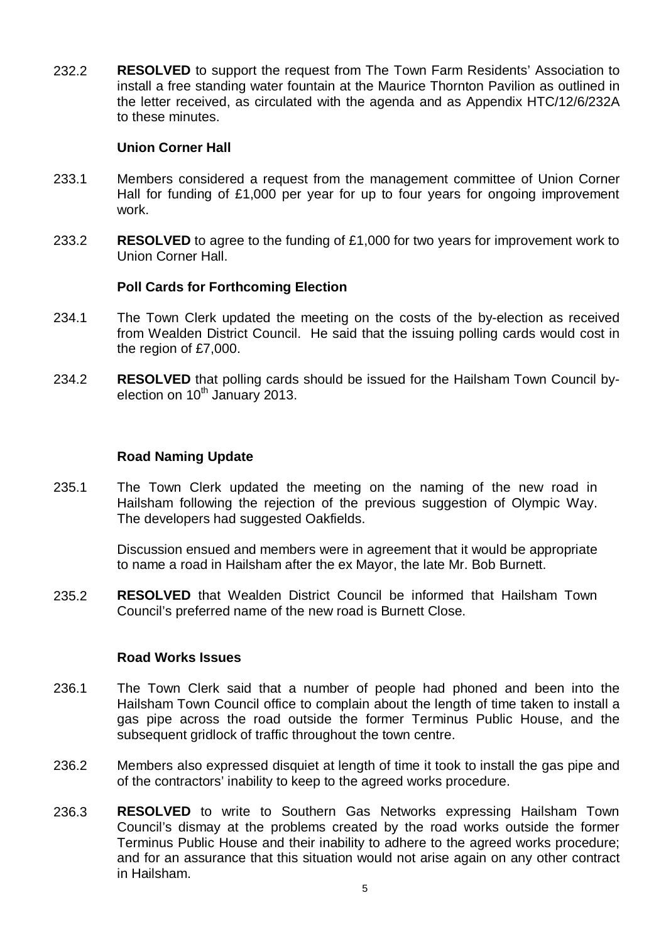232.2 **RESOLVED** to support the request from The Town Farm Residents' Association to install a free standing water fountain at the Maurice Thornton Pavilion as outlined in the letter received, as circulated with the agenda and as Appendix HTC/12/6/232A to these minutes.

# **Union Corner Hall**

- 233.1 Members considered a request from the management committee of Union Corner Hall for funding of £1,000 per year for up to four years for ongoing improvement work.
- 233.2 **RESOLVED** to agree to the funding of £1,000 for two years for improvement work to Union Corner Hall.

# **Poll Cards for Forthcoming Election**

- 234.1 The Town Clerk updated the meeting on the costs of the by-election as received from Wealden District Council. He said that the issuing polling cards would cost in the region of £7,000.
- 234.2 **RESOLVED** that polling cards should be issued for the Hailsham Town Council byelection on  $10<sup>th</sup>$  January 2013.

# **Road Naming Update**

235.1 The Town Clerk updated the meeting on the naming of the new road in Hailsham following the rejection of the previous suggestion of Olympic Way. The developers had suggested Oakfields.

> Discussion ensued and members were in agreement that it would be appropriate to name a road in Hailsham after the ex Mayor, the late Mr. Bob Burnett.

235.2 **RESOLVED** that Wealden District Council be informed that Hailsham Town Council's preferred name of the new road is Burnett Close.

### **Road Works Issues**

- 236.1 The Town Clerk said that a number of people had phoned and been into the Hailsham Town Council office to complain about the length of time taken to install a gas pipe across the road outside the former Terminus Public House, and the subsequent gridlock of traffic throughout the town centre.
- 236.2 Members also expressed disquiet at length of time it took to install the gas pipe and of the contractors' inability to keep to the agreed works procedure.
- 236.3 **RESOLVED** to write to Southern Gas Networks expressing Hailsham Town Council's dismay at the problems created by the road works outside the former Terminus Public House and their inability to adhere to the agreed works procedure; and for an assurance that this situation would not arise again on any other contract in Hailsham.